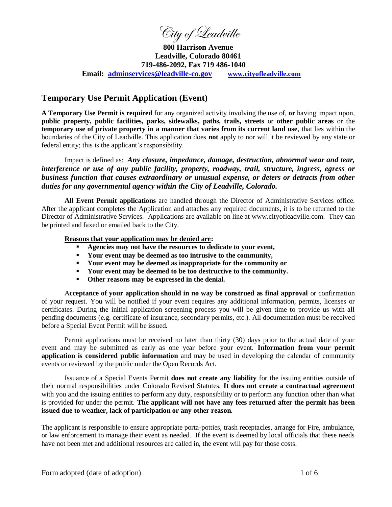City of Leadville

**800 Harrison Avenue Leadville, Colorado 80461 719-486-2092, Fax 719 486-1040 Email: adminservices@leadville-co.gov www.cityofleadville.com**

# **Temporary Use Permit Application (Event)**

**A Temporary Use Permit is required** for any organized activity involving the use of, **or** having impact upon, **public property, public facilities, parks, sidewalks, paths, trails, streets** or **other public areas** or the **temporary use of private property in a manner that varies from its current land use**, that lies within the boundaries of the City of Leadville. This application does **not** apply to nor will it be reviewed by any state or federal entity; this is the applicant's responsibility.

Impact is defined as: *Any closure, impedance, damage, destruction, abnormal wear and tear, interference or use of any public facility, property, roadway, trail, structure, ingress, egress or business function that causes extraordinary or unusual expense, or deters or detracts from other duties for any governmental agency within the City of Leadville, Colorado.* 

**All Event Permit applications** are handled through the Director of Administrative Services office. After the applicant completes the Application and attaches any required documents, it is to be returned to the Director of Administrative Services. Applications are available on line at www.cityofleadville.com. They can be printed and faxed or emailed back to the City.

#### **Reasons that your application may be denied are:**

- **Agencies may not have the resources to dedicate to your event,**
- **Your event may be deemed as too intrusive to the community,**
- **Your event may be deemed as inappropriate for the community or**
- **Your event may be deemed to be too destructive to the community.**
- **Other reasons may be expressed in the denial.**

A**cceptance of your application should in no way be construed as final approval** or confirmation of your request. You will be notified if your event requires any additional information, permits, licenses or certificates. During the initial application screening process you will be given time to provide us with all pending documents (e.g. certificate of insurance, secondary permits, etc.). All documentation must be received before a Special Event Permit will be issued.

Permit applications must be received no later than thirty (30) days prior to the actual date of your event and may be submitted as early as one year before your event. **Information from your permit application is considered public information** and may be used in developing the calendar of community events or reviewed by the public under the Open Records Act.

Issuance of a Special Events Permit **does not create any liability** for the issuing entities outside of their normal responsibilities under Colorado Revised Statutes. **It does not create a contractual agreement** with you and the issuing entities to perform any duty, responsibility or to perform any function other than what is provided for under the permit. **The applicant will not have any fees returned after the permit has been issued due to weather, lack of participation or any other reason.**

The applicant is responsible to ensure appropriate porta-potties, trash receptacles, arrange for Fire, ambulance, or law enforcement to manage their event as needed. If the event is deemed by local officials that these needs have not been met and additional resources are called in, the event will pay for those costs.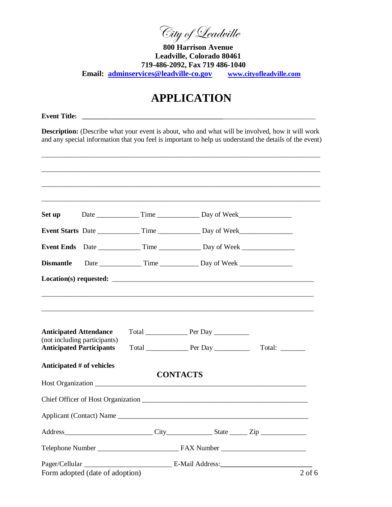City of Leadville

**800 Harrison Avenue Leadville, Colorado 80461 719-486-2092, Fax 719 486-1040 Email: adminservices@leadville-co.gov www.cityofleadville.com**

# **APPLICATION**

**Event Title: \_\_\_\_\_\_\_\_\_\_\_\_\_\_\_\_\_\_\_\_\_\_\_\_\_\_\_\_\_\_\_\_\_\_\_\_\_\_\_\_\_\_\_\_**\_\_\_\_\_\_\_\_\_\_\_\_\_\_\_\_\_\_\_\_\_\_\_\_\_\_\_\_\_

**Description:** (Describe what your event is about, who and what will be involved, how it will work and any special information that you feel is important to help us understand the details of the event)

| Set up                                                          |                                 |                                                                                   |        |
|-----------------------------------------------------------------|---------------------------------|-----------------------------------------------------------------------------------|--------|
|                                                                 |                                 | Event Starts Date ______________ Time _______________ Day of Week________________ |        |
| <b>Event Ends</b>                                               |                                 |                                                                                   |        |
| <b>Dismantle</b>                                                |                                 |                                                                                   |        |
|                                                                 |                                 |                                                                                   |        |
|                                                                 |                                 |                                                                                   |        |
| <b>Anticipated Attendance</b>                                   |                                 |                                                                                   |        |
| (not including participants)<br><b>Anticipated Participants</b> |                                 |                                                                                   | Total: |
| Anticipated # of vehicles                                       |                                 |                                                                                   |        |
|                                                                 | Host Organization               | <b>CONTACTS</b>                                                                   |        |
|                                                                 |                                 |                                                                                   |        |
|                                                                 |                                 |                                                                                   |        |
|                                                                 |                                 |                                                                                   |        |
|                                                                 |                                 |                                                                                   |        |
|                                                                 |                                 |                                                                                   |        |
|                                                                 | Form adopted (date of adoption) |                                                                                   |        |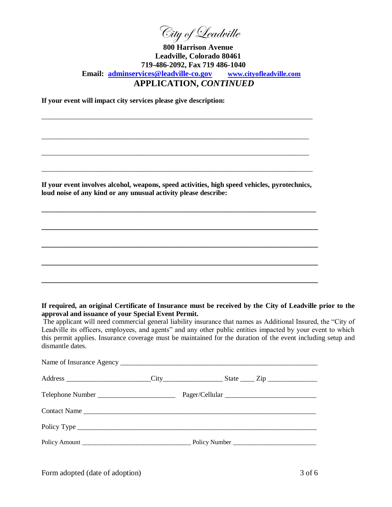City of Leadville

## **800 Harrison Avenue Leadville, Colorado 80461 719-486-2092, Fax 719 486-1040 Email: adminservices@leadville-co.gov www.cityofleadville.com APPLICATION,** *CONTINUED*

**If your event will impact city services please give description:** 

**If your event involves alcohol, weapons, speed activities, high speed vehicles, pyrotechnics, loud noise of any kind or any unusual activity please describe:**

**\_\_\_\_\_\_\_\_\_\_\_\_\_\_\_\_\_\_\_\_\_\_\_\_\_\_\_\_\_\_\_\_\_\_\_\_\_\_\_\_\_\_\_\_\_\_\_\_\_\_\_\_\_\_\_\_\_\_\_\_\_\_\_\_\_\_\_\_\_\_\_\_\_\_\_\_\_\_** 

**\_\_\_\_\_\_\_\_\_\_\_\_\_\_\_\_\_\_\_\_\_\_\_\_\_\_\_\_\_\_\_\_\_\_\_\_\_\_\_\_\_\_\_\_\_\_\_\_\_\_\_\_\_\_\_\_\_\_\_\_\_\_\_\_\_\_\_\_\_\_\_\_** 

**\_\_\_\_\_\_\_\_\_\_\_\_\_\_\_\_\_\_\_\_\_\_\_\_\_\_\_\_\_\_\_\_\_\_\_\_\_\_\_\_\_\_\_\_\_\_\_\_\_\_\_\_\_\_\_\_\_\_\_\_\_\_\_\_\_\_\_\_\_\_\_\_** 

**\_\_\_\_\_\_\_\_\_\_\_\_\_\_\_\_\_\_\_\_\_\_\_\_\_\_\_\_\_\_\_\_\_\_\_\_\_\_\_\_\_\_\_\_\_\_\_\_\_\_\_\_\_\_\_\_\_\_\_\_\_\_\_\_\_\_\_\_\_\_\_\_** 

**\_\_\_\_\_\_\_\_\_\_\_\_\_\_\_\_\_\_\_\_\_\_\_\_\_\_\_\_\_\_\_\_\_\_\_\_\_\_\_\_\_\_\_\_\_\_\_\_\_\_\_\_\_\_\_\_\_\_\_\_\_\_\_\_\_\_\_\_\_\_\_\_**

\_\_\_\_\_\_\_\_\_\_\_\_\_\_\_\_\_\_\_\_\_\_\_\_\_\_\_\_\_\_\_\_\_\_\_\_\_\_\_\_\_\_\_\_\_\_\_\_\_\_\_\_\_\_\_\_\_\_\_\_\_\_\_\_\_\_\_\_\_\_\_\_\_\_\_\_\_

\_\_\_\_\_\_\_\_\_\_\_\_\_\_\_\_\_\_\_\_\_\_\_\_\_\_\_\_\_\_\_\_\_\_\_\_\_\_\_\_\_\_\_\_\_\_\_\_\_\_\_\_\_\_\_\_\_\_\_\_\_\_\_\_\_\_\_\_\_\_\_\_\_\_\_\_\_

\_\_\_\_\_\_\_\_\_\_\_\_\_\_\_\_\_\_\_\_\_\_\_\_\_\_\_\_\_\_\_\_\_\_\_\_\_\_\_\_\_\_\_\_\_\_\_\_\_\_\_\_\_\_\_\_\_\_\_\_\_\_\_\_\_\_\_\_\_\_\_\_\_\_\_\_

\_\_\_\_\_\_\_\_\_\_\_\_\_\_\_\_\_\_\_\_\_\_\_\_\_\_\_\_\_\_\_\_\_\_\_\_\_\_\_\_\_\_\_\_\_\_\_\_\_\_\_\_\_\_\_\_\_\_\_\_\_\_\_\_\_\_\_\_\_\_\_\_\_\_\_\_

#### **If required, an original Certificate of Insurance must be received by the City of Leadville prior to the approval and issuance of your Special Event Permit.**

The applicant will need commercial general liability insurance that names as Additional Insured, the "City of Leadville its officers, employees, and agents" and any other public entities impacted by your event to which this permit applies. Insurance coverage must be maintained for the duration of the event including setup and dismantle dates.

| Contact Name |  |  |
|--------------|--|--|
|              |  |  |
|              |  |  |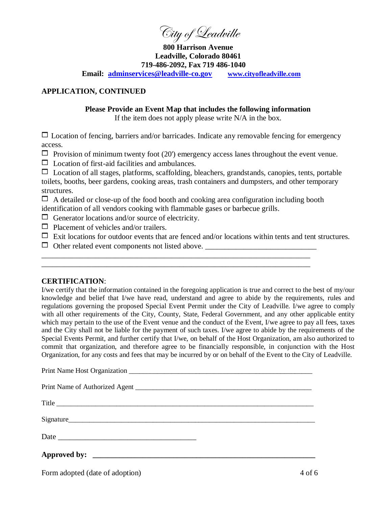City of Leadville

**800 Harrison Avenue Leadville, Colorado 80461 719-486-2092, Fax 719 486-1040 Email: adminservices@leadville-co.gov www.cityofleadville.com**

### **APPLICATION, CONTINUED**

#### **Please Provide an Event Map that includes the following information**

If the item does not apply please write N/A in the box.

 $\Box$  Location of fencing, barriers and/or barricades. Indicate any removable fencing for emergency access.

 $\Box$  Provision of minimum twenty foot (20') emergency access lanes throughout the event venue.

 $\Box$  Location of first-aid facilities and ambulances.

 $\Box$  Location of all stages, platforms, scaffolding, bleachers, grandstands, canopies, tents, portable toilets, booths, beer gardens, cooking areas, trash containers and dumpsters, and other temporary structures.

 $\Box$  A detailed or close-up of the food booth and cooking area configuration including booth identification of all vendors cooking with flammable gases or barbecue grills.

\_\_\_\_\_\_\_\_\_\_\_\_\_\_\_\_\_\_\_\_\_\_\_\_\_\_\_\_\_\_\_\_\_\_\_\_\_\_\_\_\_\_\_\_\_\_\_\_\_\_\_\_\_\_\_\_\_\_\_\_\_\_\_\_\_\_\_\_\_\_ \_\_\_\_\_\_\_\_\_\_\_\_\_\_\_\_\_\_\_\_\_\_\_\_\_\_\_\_\_\_\_\_\_\_\_\_\_\_\_\_\_\_\_\_\_\_\_\_\_\_\_\_\_\_\_\_\_\_\_\_\_\_\_\_\_\_\_\_\_\_

 $\Box$  Generator locations and/or source of electricity.

 $\Box$  Placement of vehicles and/or trailers.

- $\Box$  Exit locations for outdoor events that are fenced and/or locations within tents and tent structures.
- Other related event components not listed above. \_\_\_\_\_\_\_\_\_\_\_\_\_\_\_\_\_\_\_\_\_\_\_\_\_\_\_\_\_

#### **CERTIFICATION**:

I/we certify that the information contained in the foregoing application is true and correct to the best of my/our knowledge and belief that I/we have read, understand and agree to abide by the requirements, rules and regulations governing the proposed Special Event Permit under the City of Leadville. I/we agree to comply with all other requirements of the City, County, State, Federal Government, and any other applicable entity which may pertain to the use of the Event venue and the conduct of the Event, I/we agree to pay all fees, taxes and the City shall not be liable for the payment of such taxes. I/we agree to abide by the requirements of the Special Events Permit, and further certify that I/we, on behalf of the Host Organization, am also authorized to commit that organization, and therefore agree to be financially responsible, in conjunction with the Host Organization, for any costs and fees that may be incurred by or on behalf of the Event to the City of Leadville.

| Title     |
|-----------|
| Signature |
|           |
|           |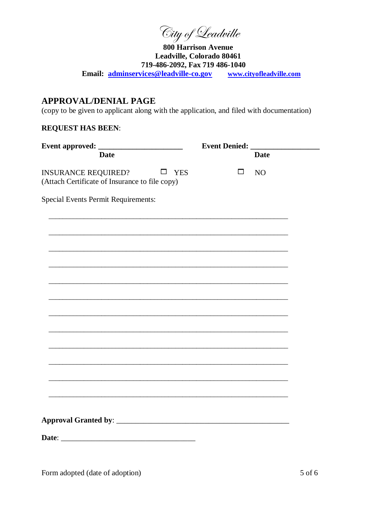City of Leadville

**800 Harrison Avenue** Leadville, Colorado 80461 719-486-2092, Fax 719 486-1040 Email: adminservices@leadville-co.gov www.cityofleadville.com

# **APPROVAL/DENIAL PAGE**

(copy to be given to applicant along with the application, and filed with documentation)

# **REQUEST HAS BEEN:**

|                                                                                               | <b>Event Denied:</b> |                |  |
|-----------------------------------------------------------------------------------------------|----------------------|----------------|--|
| <b>Date</b>                                                                                   |                      | <b>Date</b>    |  |
| <b>INSURANCE REQUIRED?</b><br>$\square$ YES<br>(Attach Certificate of Insurance to file copy) | $\Box$               | N <sub>O</sub> |  |
| <b>Special Events Permit Requirements:</b>                                                    |                      |                |  |
|                                                                                               |                      |                |  |
|                                                                                               |                      |                |  |
|                                                                                               |                      |                |  |
|                                                                                               |                      |                |  |
|                                                                                               |                      |                |  |
|                                                                                               |                      |                |  |
|                                                                                               |                      |                |  |
|                                                                                               |                      |                |  |
|                                                                                               |                      |                |  |
|                                                                                               |                      |                |  |